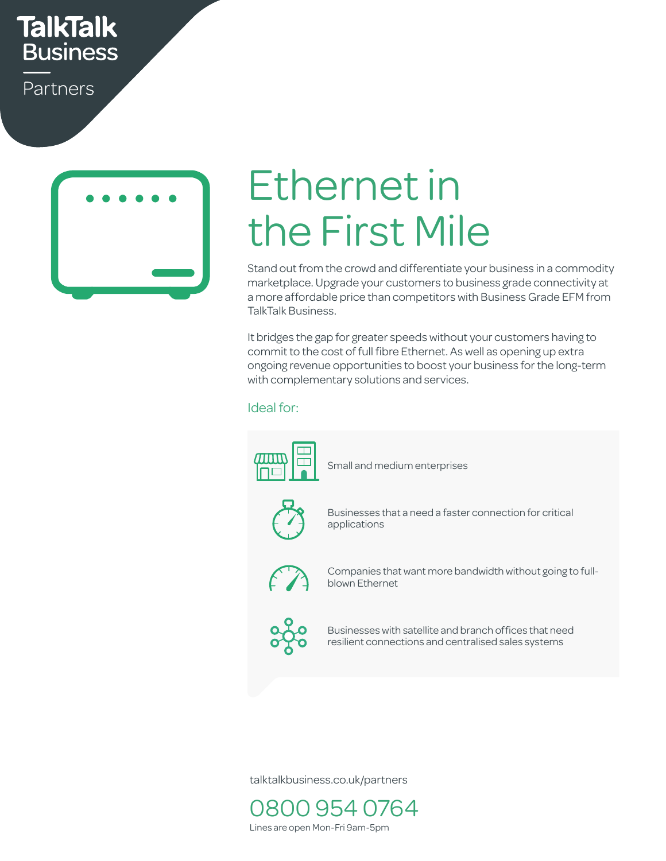## **TalkTalk Business**

Partners



# Ethernet in the First Mile

Stand out from the crowd and differentiate your business in a commodity marketplace. Upgrade your customers to business grade connectivity at a more affordable price than competitors with Business Grade EFM from TalkTalk Business.

It bridges the gap for greater speeds without your customers having to commit to the cost of full fibre Ethernet. As well as opening up extra ongoing revenue opportunities to boost your business for the long-term<br>with complementary solutions and services. with complementary solutions and services.<br>Ideal for:

#### Ideal for:



Small and medium enterprises restyled in new format



applications Businesses that a need a faster connection for critical



Companies that want more bandwidth without going to fullblown Ethernet



Businesses with satellite and branch offices that need resilient connections and centralised sales systems

talktalkbusiness.co.uk/partners